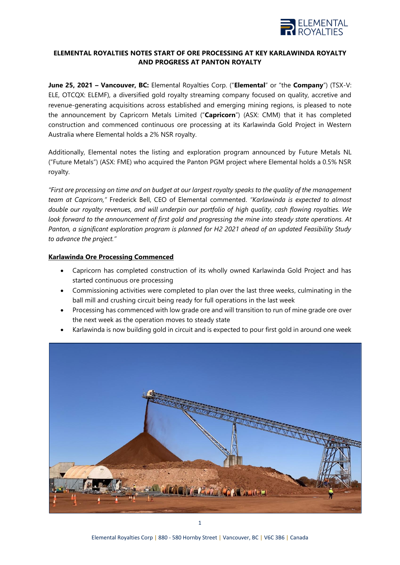

# **ELEMENTAL ROYALTIES NOTES START OF ORE PROCESSING AT KEY KARLAWINDA ROYALTY AND PROGRESS AT PANTON ROYALTY**

**June 25, 2021 – Vancouver, BC:** Elemental Royalties Corp. ("**Elemental**" or "the **Company**") (TSX-V: ELE, OTCQX: ELEMF), a diversified gold royalty streaming company focused on quality, accretive and revenue-generating acquisitions across established and emerging mining regions, is pleased to note the announcement by Capricorn Metals Limited ("**Capricorn**") (ASX: CMM) that it has completed construction and commenced continuous ore processing at its Karlawinda Gold Project in Western Australia where Elemental holds a 2% NSR royalty.

Additionally, Elemental notes the listing and exploration program announced by Future Metals NL ("Future Metals") (ASX: FME) who acquired the Panton PGM project where Elemental holds a 0.5% NSR royalty.

*"First ore processing on time and on budget at our largest royalty speaks to the quality of the management team at Capricorn,"* Frederick Bell, CEO of Elemental commented. *"Karlawinda is expected to almost double our royalty revenues, and will underpin our portfolio of high quality, cash flowing royalties. We look forward to the announcement of first gold and progressing the mine into steady state operations. At Panton, a significant exploration program is planned for H2 2021 ahead of an updated Feasibility Study to advance the project."*

# **Karlawinda Ore Processing Commenced**

- Capricorn has completed construction of its wholly owned Karlawinda Gold Project and has started continuous ore processing
- Commissioning activities were completed to plan over the last three weeks, culminating in the ball mill and crushing circuit being ready for full operations in the last week
- Processing has commenced with low grade ore and will transition to run of mine grade ore over the next week as the operation moves to steady state
- Karlawinda is now building gold in circuit and is expected to pour first gold in around one week

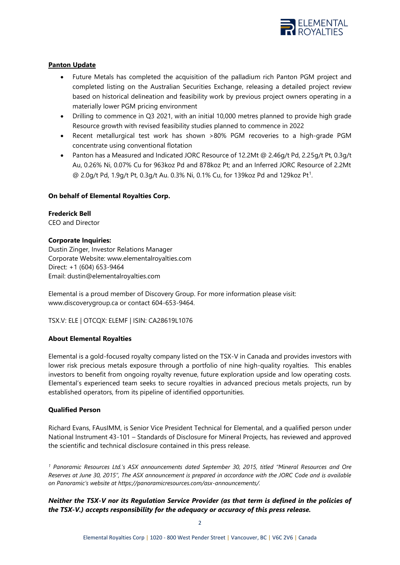

# **Panton Update**

- Future Metals has completed the acquisition of the palladium rich Panton PGM project and completed listing on the Australian Securities Exchange, releasing a detailed project review based on historical delineation and feasibility work by previous project owners operating in a materially lower PGM pricing environment
- Drilling to commence in Q3 2021, with an initial 10,000 metres planned to provide high grade Resource growth with revised feasibility studies planned to commence in 2022
- Recent metallurgical test work has shown >80% PGM recoveries to a high-grade PGM concentrate using conventional flotation
- Panton has a Measured and Indicated JORC Resource of 12.2Mt @ 2.46g/t Pd, 2.25g/t Pt, 0.3g/t Au, 0.26% Ni, 0.07% Cu for 963koz Pd and 878koz Pt; and an Inferred JORC Resource of 2.2Mt @ 2.0g/t Pd, 1.9g/t Pt, 0.3g/t Au. 0.3% Ni, 0.1% Cu, for 139koz Pd and 129koz Pt<sup>1</sup>.

### **On behalf of Elemental Royalties Corp.**

**Frederick Bell** CEO and Director

### **Corporate Inquiries:**

Dustin Zinger, Investor Relations Manager Corporate Website: [www.elementalroyalties.com](http://www.elementalroyalties.com/) Direct: +1 (604) 653-9464 Email: [dustin@elementalroyalties.com](mailto:dustin@elementalroyalties.com)

Elemental is a proud member of Discovery Group. For more information please visit: [www.discoverygroup.ca](http://www.discoverygroup.ca/) or contact 604-653-9464.

TSX.V: ELE | OTCQX: ELEMF | ISIN: CA28619L1076

### **About Elemental Royalties**

Elemental is a gold-focused royalty company listed on the TSX-V in Canada and provides investors with lower risk precious metals exposure through a portfolio of nine high-quality royalties. This enables investors to benefit from ongoing royalty revenue, future exploration upside and low operating costs. Elemental's experienced team seeks to secure royalties in advanced precious metals projects, run by established operators, from its pipeline of identified opportunities.

### **Qualified Person**

Richard Evans, FAusIMM, is Senior Vice President Technical for Elemental, and a qualified person under National Instrument 43-101 – Standards of Disclosure for Mineral Projects, has reviewed and approved the scientific and technical disclosure contained in this press release.

*<sup>1</sup> Panoramic Resources Ltd.'s ASX announcements dated September 30, 2015, titled "Mineral Resources and Ore Reserves at June 30, 2015", The ASX announcement is prepared in accordance with the JORC Code and is available on Panoramic's website at https://panoramicresources.com/asx-announcements/.*

*Neither the TSX-V nor its Regulation Service Provider (as that term is defined in the policies of the TSX-V.) accepts responsibility for the adequacy or accuracy of this press release.*